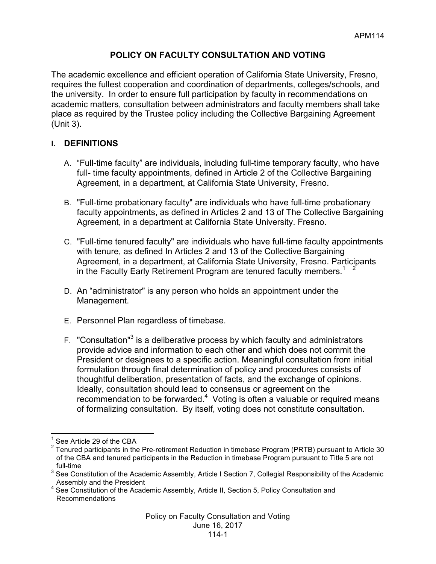# **POLICY ON FACULTY CONSULTATION AND VOTING**

The academic excellence and efficient operation of California State University, Fresno, requires the fullest cooperation and coordination of departments, colleges/schools, and the university. In order to ensure full participation by faculty in recommendations on academic matters, consultation between administrators and faculty members shall take place as required by the Trustee policy including the Collective Bargaining Agreement (Unit 3).

### **I. DEFINITIONS**

- A. "Full-time faculty" are individuals, including full-time temporary faculty, who have full- time faculty appointments, defined in Article 2 of the Collective Bargaining Agreement, in a department, at California State University, Fresno.
- B. "Full-time probationary faculty" are individuals who have full-time probationary faculty appointments, as defined in Articles 2 and 13 of The Collective Bargaining Agreement, in a department at California State University. Fresno.
- C. "Full-time tenured faculty" are individuals who have full-time faculty appointments with tenure, as defined In Articles 2 and 13 of the Collective Bargaining Agreement, in a department, at California State University, Fresno. Participants in the Faculty Early Retirement Program are tenured faculty members.<sup>1</sup>
- D. An "administrator" is any person who holds an appointment under the Management.
- E. Personnel Plan regardless of timebase.
- F. "Consultation"<sup>3</sup> is a deliberative process by which faculty and administrators provide advice and information to each other and which does not commit the President or designees to a specific action. Meaningful consultation from initial formulation through final determination of policy and procedures consists of thoughtful deliberation, presentation of facts, and the exchange of opinions. Ideally, consultation should lead to consensus or agreement on the recommendation to be forwarded. $4$  Voting is often a valuable or required means of formalizing consultation. By itself, voting does not constitute consultation.

See Article 29 of the CBA

 $2$  Tenured participants in the Pre-retirement Reduction in timebase Program (PRTB) pursuant to Article 30 of the CBA and tenured participants in the Reduction in timebase Program pursuant to Title 5 are not full-time

<sup>&</sup>lt;sup>3</sup> See Constitution of the Academic Assembly, Article I Section 7, Collegial Responsibility of the Academic

Assembly and the President<br>4 See Constitution of the Academic Assembly, Article II, Section 5, Policy Consultation and Recommendations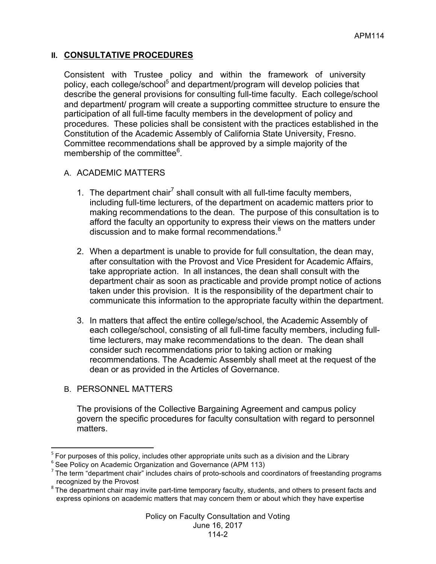# **II. CONSULTATIVE PROCEDURES**

Consistent with Trustee policy and within the framework of university policy, each college/school<sup>5</sup> and department/program will develop policies that describe the general provisions for consulting full-time faculty. Each college/school and department/ program will create a supporting committee structure to ensure the participation of all full-time faculty members in the development of policy and procedures. These policies shall be consistent with the practices established in the Constitution of the Academic Assembly of California State University, Fresno. Committee recommendations shall be approved by a simple majority of the membership of the committee<sup>6</sup>.

### A. ACADEMIC MATTERS

- 1. The department chair<sup>7</sup> shall consult with all full-time faculty members, including full-time lecturers, of the department on academic matters prior to making recommendations to the dean. The purpose of this consultation is to afford the faculty an opportunity to express their views on the matters under discussion and to make formal recommendations. 8
- 2. When a department is unable to provide for full consultation, the dean may, after consultation with the Provost and Vice President for Academic Affairs, take appropriate action. In all instances, the dean shall consult with the department chair as soon as practicable and provide prompt notice of actions taken under this provision. It is the responsibility of the department chair to communicate this information to the appropriate faculty within the department.
- 3. In matters that affect the entire college/school, the Academic Assembly of each college/school, consisting of all full-time faculty members, including fulltime lecturers, may make recommendations to the dean. The dean shall consider such recommendations prior to taking action or making recommendations. The Academic Assembly shall meet at the request of the dean or as provided in the Articles of Governance.
- B. PERSONNEL MATTERS

<u> 1989 - Johann Stein, fransk politik (d. 1989)</u>

The provisions of the Collective Bargaining Agreement and campus policy govern the specific procedures for faculty consultation with regard to personnel matters.

 $5$  For purposes of this policy, includes other appropriate units such as a division and the Library

<sup>&</sup>lt;sup>6</sup> See Policy on Academic Organization and Governance (APM 113)

 $7$  The term "department chair" includes chairs of proto-schools and coordinators of freestanding programs recognized by the Provost<br><sup>8</sup> The department chair may invite part-time temporary faculty, students, and others to present facts and

express opinions on academic matters that may concern them or about which they have expertise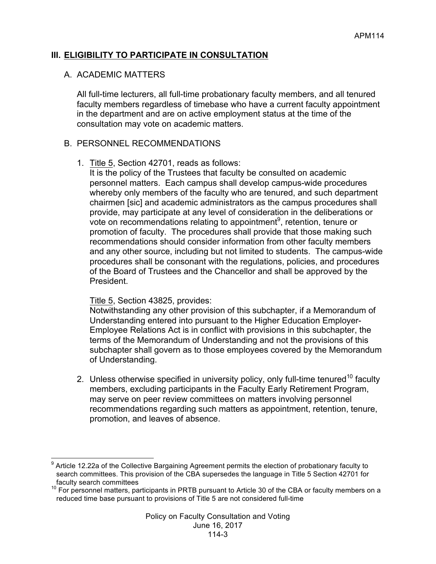## **III. ELIGIBILITY TO PARTICIPATE IN CONSULTATION**

#### A. ACADEMIC MATTERS

All full-time lecturers, all full-time probationary faculty members, and all tenured faculty members regardless of timebase who have a current faculty appointment in the department and are on active employment status at the time of the consultation may vote on academic matters.

#### B. PERSONNEL RECOMMENDATIONS

1. Title 5, Section 42701, reads as follows:

It is the policy of the Trustees that faculty be consulted on academic personnel matters. Each campus shall develop campus-wide procedures whereby only members of the faculty who are tenured, and such department chairmen [sic] and academic administrators as the campus procedures shall provide, may participate at any level of consideration in the deliberations or vote on recommendations relating to appointment $9$ , retention, tenure or promotion of faculty. The procedures shall provide that those making such recommendations should consider information from other faculty members and any other source, including but not limited to students. The campus-wide procedures shall be consonant with the regulations, policies, and procedures of the Board of Trustees and the Chancellor and shall be approved by the President.

#### Title 5, Section 43825, provides:

Notwithstanding any other provision of this subchapter, if a Memorandum of Understanding entered into pursuant to the Higher Education Employer-Employee Relations Act is in conflict with provisions in this subchapter, the terms of the Memorandum of Understanding and not the provisions of this subchapter shall govern as to those employees covered by the Memorandum of Understanding.

2. Unless otherwise specified in university policy, only full-time tenured<sup>10</sup> faculty members, excluding participants in the Faculty Early Retirement Program, may serve on peer review committees on matters involving personnel recommendations regarding such matters as appointment, retention, tenure, promotion, and leaves of absence.

 <sup>9</sup> Article 12.22a of the Collective Bargaining Agreement permits the election of probationary faculty to search committees. This provision of the CBA supersedes the language in Title 5 Section 42701 for

faculty search committees<br><sup>10</sup> For personnel matters, participants in PRTB pursuant to Article 30 of the CBA or faculty members on a reduced time base pursuant to provisions of Title 5 are not considered full-time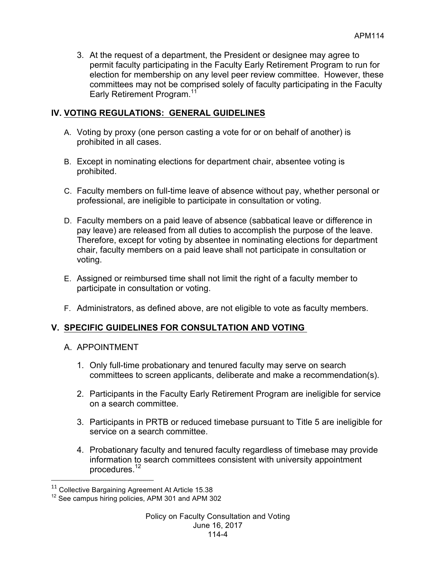3. At the request of a department, the President or designee may agree to permit faculty participating in the Faculty Early Retirement Program to run for election for membership on any level peer review committee. However, these committees may not be comprised solely of faculty participating in the Faculty Early Retirement Program.<sup>11</sup>

# **IV. VOTING REGULATIONS: GENERAL GUIDELINES**

- A. Voting by proxy (one person casting a vote for or on behalf of another) is prohibited in all cases.
- B. Except in nominating elections for department chair, absentee voting is prohibited.
- C. Faculty members on full-time leave of absence without pay, whether personal or professional, are ineligible to participate in consultation or voting.
- D. Faculty members on a paid leave of absence (sabbatical leave or difference in pay leave) are released from all duties to accomplish the purpose of the leave. Therefore, except for voting by absentee in nominating elections for department chair, faculty members on a paid leave shall not participate in consultation or voting.
- E. Assigned or reimbursed time shall not limit the right of a faculty member to participate in consultation or voting.
- F. Administrators, as defined above, are not eligible to vote as faculty members.

### **V. SPECIFIC GUIDELINES FOR CONSULTATION AND VOTING**

A. APPOINTMENT

<u> 1989 - Johann Stein, fransk politik (d. 1989)</u>

- 1. Only full-time probationary and tenured faculty may serve on search committees to screen applicants, deliberate and make a recommendation(s).
- 2. Participants in the Faculty Early Retirement Program are ineligible for service on a search committee.
- 3. Participants in PRTB or reduced timebase pursuant to Title 5 are ineligible for service on a search committee.
- 4. Probationary faculty and tenured faculty regardless of timebase may provide information to search committees consistent with university appointment procedures.<sup>12</sup>

<sup>&</sup>lt;sup>11</sup> Collective Bargaining Agreement At Article 15.38

<sup>&</sup>lt;sup>12</sup> See campus hiring policies, APM 301 and APM 302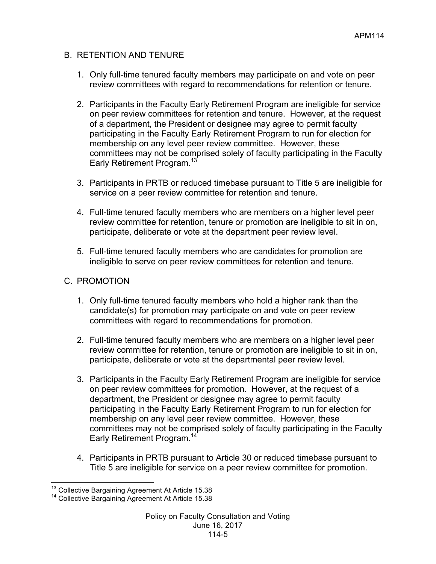# B. RETENTION AND TENURE

- 1. Only full-time tenured faculty members may participate on and vote on peer review committees with regard to recommendations for retention or tenure.
- 2. Participants in the Faculty Early Retirement Program are ineligible for service on peer review committees for retention and tenure. However, at the request of a department, the President or designee may agree to permit faculty participating in the Faculty Early Retirement Program to run for election for membership on any level peer review committee. However, these committees may not be comprised solely of faculty participating in the Faculty Early Retirement Program.<sup>13</sup>
- 3. Participants in PRTB or reduced timebase pursuant to Title 5 are ineligible for service on a peer review committee for retention and tenure.
- 4. Full-time tenured faculty members who are members on a higher level peer review committee for retention, tenure or promotion are ineligible to sit in on, participate, deliberate or vote at the department peer review level.
- 5. Full-time tenured faculty members who are candidates for promotion are ineligible to serve on peer review committees for retention and tenure.

# C. PROMOTION

- 1. Only full-time tenured faculty members who hold a higher rank than the candidate(s) for promotion may participate on and vote on peer review committees with regard to recommendations for promotion.
- 2. Full-time tenured faculty members who are members on a higher level peer review committee for retention, tenure or promotion are ineligible to sit in on, participate, deliberate or vote at the departmental peer review level.
- 3. Participants in the Faculty Early Retirement Program are ineligible for service on peer review committees for promotion. However, at the request of a department, the President or designee may agree to permit faculty participating in the Faculty Early Retirement Program to run for election for membership on any level peer review committee. However, these committees may not be comprised solely of faculty participating in the Faculty Early Retirement Program.<sup>14</sup>
- 4. Participants in PRTB pursuant to Article 30 or reduced timebase pursuant to Title 5 are ineligible for service on a peer review committee for promotion.

 $13$  Collective Bargaining Agreement At Article 15.38  $14$  Collective Bargaining Agreement At Article 15.38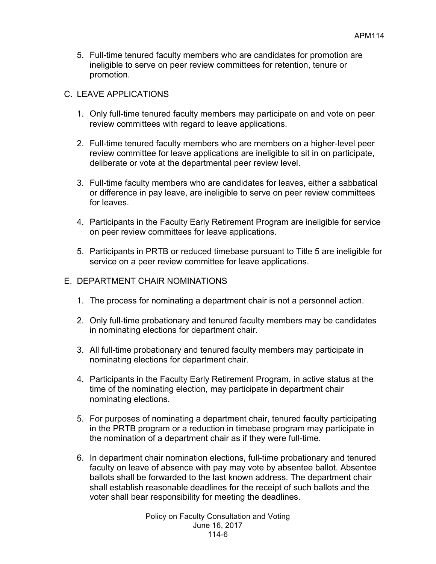5. Full-time tenured faculty members who are candidates for promotion are ineligible to serve on peer review committees for retention, tenure or promotion.

### C. LEAVE APPLICATIONS

- 1. Only full-time tenured faculty members may participate on and vote on peer review committees with regard to leave applications.
- 2. Full-time tenured faculty members who are members on a higher-level peer review committee for leave applications are ineligible to sit in on participate, deliberate or vote at the departmental peer review level.
- 3. Full-time faculty members who are candidates for leaves, either a sabbatical or difference in pay leave, are ineligible to serve on peer review committees for leaves.
- 4. Participants in the Faculty Early Retirement Program are ineligible for service on peer review committees for leave applications.
- 5. Participants in PRTB or reduced timebase pursuant to Title 5 are ineligible for service on a peer review committee for leave applications.
- E. DEPARTMENT CHAIR NOMINATIONS
	- 1. The process for nominating a department chair is not a personnel action.
	- 2. Only full-time probationary and tenured faculty members may be candidates in nominating elections for department chair.
	- 3. All full-time probationary and tenured faculty members may participate in nominating elections for department chair.
	- 4. Participants in the Faculty Early Retirement Program, in active status at the time of the nominating election, may participate in department chair nominating elections.
	- 5. For purposes of nominating a department chair, tenured faculty participating in the PRTB program or a reduction in timebase program may participate in the nomination of a department chair as if they were full-time.
	- 6. In department chair nomination elections, full-time probationary and tenured faculty on leave of absence with pay may vote by absentee ballot. Absentee ballots shall be forwarded to the last known address. The department chair shall establish reasonable deadlines for the receipt of such ballots and the voter shall bear responsibility for meeting the deadlines.